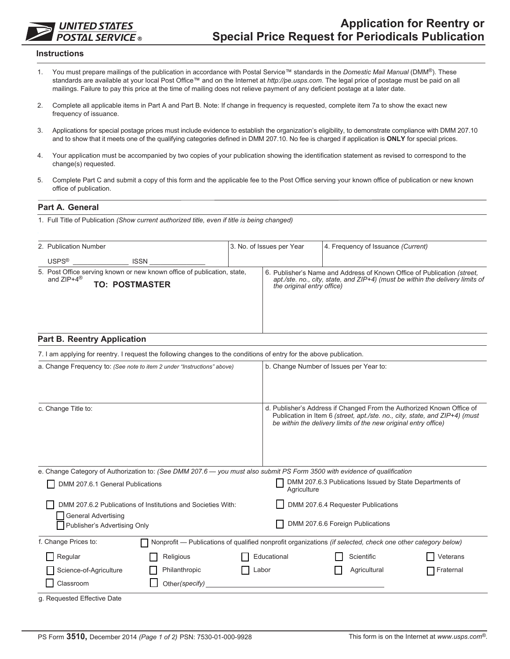# **UNITED STATES POSTAL SERVICE**

#### **Instructions**

- 1. You must prepare mailings of the publication in accordance with Postal Service™ standards in the *Domestic Mail Manual* (DMM<sup>®</sup>). These standards are available at your local Post Office™ and on the Internet at *http://pe.usps.com*. The legal price of postage must be paid on all mailings. Failure to pay this price at the time of mailing does not relieve payment of any deficient postage at a later date.
- 2. Complete all applicable items in Part A and Part B. Note: If change in frequency is requested, complete item 7a to show the exact new frequency of issuance.
- 3. Applications for special postage prices must include evidence to establish the organization's eligibility, to demonstrate compliance with DMM 207.10 and to show that it meets one of the qualifying categories defined in DMM 207.10. No fee is charged if application is **ONLY** for special prices.
- 4. Your application must be accompanied by two copies of your publication showing the identification statement as revised to correspond to the change(s) requested.
- 5. Complete Part C and submit a copy of this form and the applicable fee to the Post Office serving your known office of publication or new known office of publication.

### **Part A. General**

1. Full Title of Publication *(Show current authorized title, even if title is being changed)*

| 2. Publication Number                                                                                                       | 3. No. of Issues per Year  | 4. Frequency of Issuance (Current)                                                                                                                       |
|-----------------------------------------------------------------------------------------------------------------------------|----------------------------|----------------------------------------------------------------------------------------------------------------------------------------------------------|
| <b>USPS®</b><br><b>ISSN</b>                                                                                                 |                            |                                                                                                                                                          |
| 5. Post Office serving known or new known office of publication, state,<br>and $ZIP+4^{\circledR}$<br><b>TO: POSTMASTER</b> | the original entry office) | 6. Publisher's Name and Address of Known Office of Publication (street.<br>apt./ste. no., city, state, and ZIP+4) (must be within the delivery limits of |

| <b>Part B. Reentry Application</b>                                                                                                                            |  |                                                                                                                                                                                                                         |                                                                                                             |           |  |
|---------------------------------------------------------------------------------------------------------------------------------------------------------------|--|-------------------------------------------------------------------------------------------------------------------------------------------------------------------------------------------------------------------------|-------------------------------------------------------------------------------------------------------------|-----------|--|
| 7. I am applying for reentry. I request the following changes to the conditions of entry for the above publication.                                           |  |                                                                                                                                                                                                                         |                                                                                                             |           |  |
| a. Change Frequency to: (See note to item 2 under "Instructions" above)                                                                                       |  | b. Change Number of Issues per Year to:                                                                                                                                                                                 |                                                                                                             |           |  |
| c. Change Title to:                                                                                                                                           |  | d. Publisher's Address if Changed From the Authorized Known Office of<br>Publication in Item 6 (street, apt./ste. no., city, state, and ZIP+4) (must<br>be within the delivery limits of the new original entry office) |                                                                                                             |           |  |
| e. Change Category of Authorization to: (See DMM 207.6 — you must also submit PS Form 3500 with evidence of qualification<br>DMM 207.6.1 General Publications |  | Agriculture                                                                                                                                                                                                             | DMM 207.6.3 Publications Issued by State Departments of                                                     |           |  |
| DMM 207.6.2 Publications of Institutions and Societies With:<br><b>General Advertising</b><br>Publisher's Advertising Only                                    |  | DMM 207.6.4 Requester Publications<br>DMM 207.6.6 Foreign Publications                                                                                                                                                  |                                                                                                             |           |  |
| f. Change Prices to:                                                                                                                                          |  |                                                                                                                                                                                                                         | Nonprofit — Publications of qualified nonprofit organizations (if selected, check one other category below) |           |  |
| Regular<br>Religious                                                                                                                                          |  | Educational                                                                                                                                                                                                             | Scientific                                                                                                  | Veterans  |  |
| Philanthropic<br>Science-of-Agriculture                                                                                                                       |  | Labor                                                                                                                                                                                                                   | Agricultural                                                                                                | Fraternal |  |
| Classroom<br>Other(specify)                                                                                                                                   |  |                                                                                                                                                                                                                         |                                                                                                             |           |  |
| g. Requested Effective Date                                                                                                                                   |  |                                                                                                                                                                                                                         |                                                                                                             |           |  |